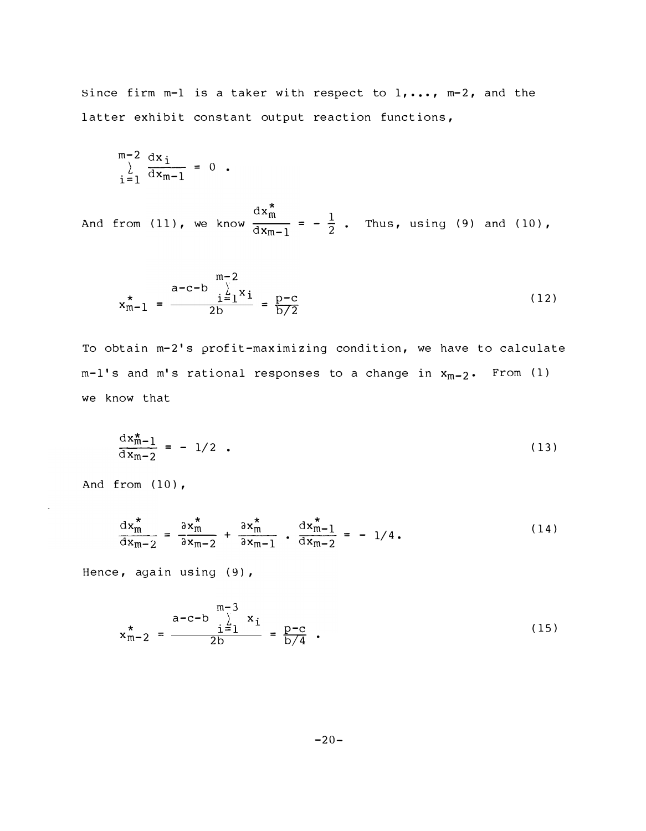Since firm m-1 is a taker with respect to  $1, \ldots, m-2$ , and the latter exhibit constant output reaction functions,

$$
\sum_{i=1}^{m-2} \frac{dx_i}{dx_{m-1}} = 0.
$$

And from (11), we know  $\frac{dx_m^*}{dx_{m-1}} = -\frac{1}{2}$ . Thus, using (9) and (10),

$$
x_{m-1}^{*} = \frac{a-c-b}{2b} \sum_{i=1}^{m-2} x_i = \frac{p-c}{b/2}
$$
 (12)

To obtain m-2's profit-maximizing condition, we have to calculate  $m-1$ 's and  $m$ 's rational responses to a change in  $x_{m-2}$ . From (1) we know that

$$
\frac{dx_{m-1}^*}{dx_{m-2}} = -1/2 \quad . \tag{13}
$$

And from  $(10)$ ,

 $\tilde{\phantom{a}}$ 

$$
\frac{\mathrm{d}x_{\mathrm{m}}^*}{\mathrm{d}x_{\mathrm{m}-2}} = \frac{\partial x_{\mathrm{m}}^*}{\partial x_{\mathrm{m}-2}} + \frac{\partial x_{\mathrm{m}}^*}{\partial x_{\mathrm{m}-1}} \cdot \frac{\mathrm{d}x_{\mathrm{m}-1}^*}{\partial x_{\mathrm{m}-2}} = -1/4. \tag{14}
$$

Hence, again using (9),

$$
x_{m-2}^{*} = \frac{a-c-b}{2b} \sum_{i=1}^{m-3} x_i = \frac{p-c}{b/4} .
$$
 (15)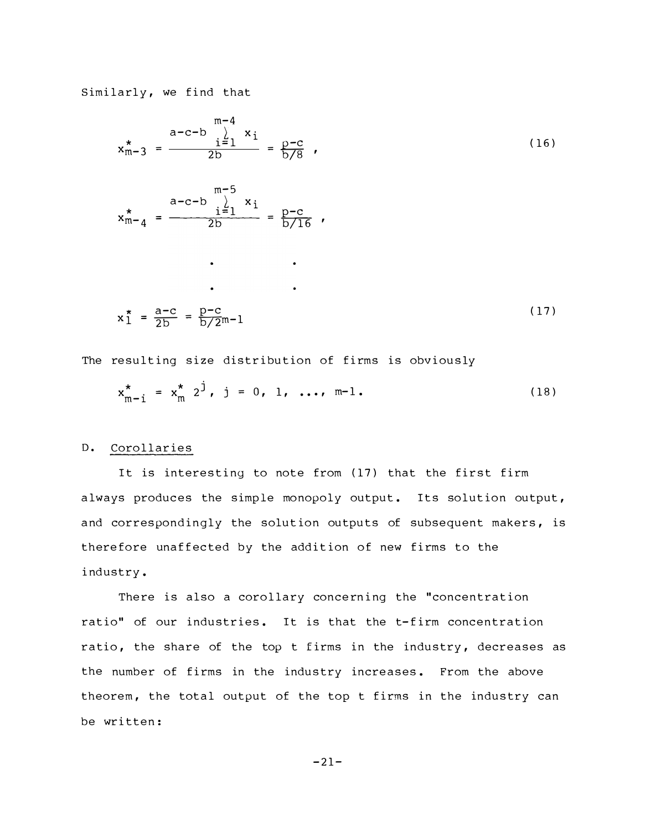Similarly, we find that

$$
x_{m-3}^{*} = \frac{a-c-b}{2b} \sum_{i=1}^{m-4} x_i
$$
  
\n
$$
x_{m-3}^{*} = \frac{a-c-b}{2b} \sum_{i=1}^{m-5} x_i
$$
  
\n
$$
x_{m-4}^{*} = \frac{a-c-b}{2b} \sum_{i=1}^{m-5} x_i
$$
  
\n...  
\n
$$
x_{m-5}^{*} = \frac{a-c-b}{2b} \sum_{i=1}^{m-5} x_i
$$
  
\n...  
\n
$$
x_{m-2}^{*} = \frac{a-c}{2b} = \frac{p-c}{b/2m-1}
$$
  
\n(17)

The resulting size distribution of firms is obviously

$$
x_{m-1}^{*} = x_{m}^{*} 2^{j}, \quad j = 0, 1, ..., m-1.
$$
 (18)

## D. Corollaries

It is interesting to note from (17) that the first firm always produces the simple monopoly output. Its solution output, and correspondingly the solution outputs of subsequent makers, is therefore unaffected by the addition of new firms to the i ndustry .

There is also a corollary concerning the "concentration ratio" of our industries. It is that the t-firm concentration ratio, the share of the top t firms in the industry, decreases as the number of firms in the industry increases. From the above theorem, the total output of the top t firms in the industry can be written:

 $-21-$